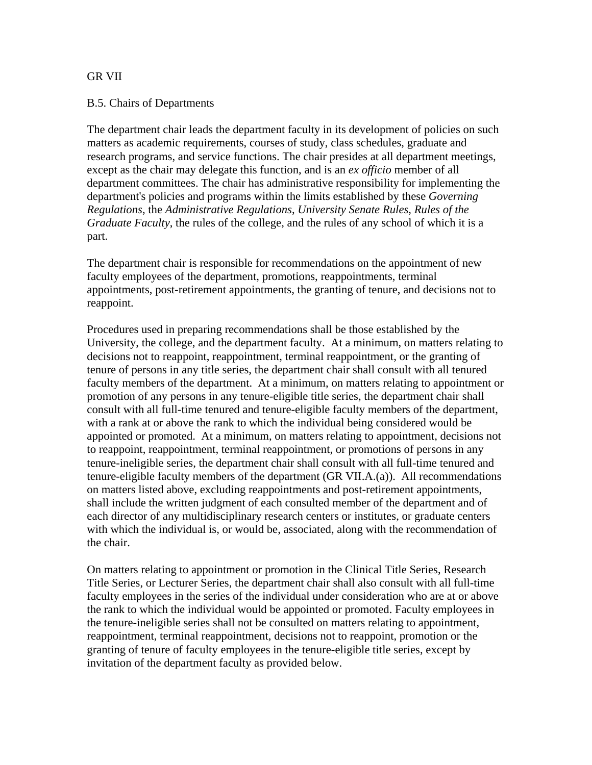## GR VII

## B.5. Chairs of Departments

The department chair leads the department faculty in its development of policies on such matters as academic requirements, courses of study, class schedules, graduate and research programs, and service functions. The chair presides at all department meetings, except as the chair may delegate this function, and is an *ex officio* member of all department committees. The chair has administrative responsibility for implementing the department's policies and programs within the limits established by these *Governing Regulations*, the *Administrative Regulations*, *University Senate Rules*, *Rules of the Graduate Faculty*, the rules of the college, and the rules of any school of which it is a part.

The department chair is responsible for recommendations on the appointment of new faculty employees of the department, promotions, reappointments, terminal appointments, post-retirement appointments, the granting of tenure, and decisions not to reappoint.

Procedures used in preparing recommendations shall be those established by the University, the college, and the department faculty. At a minimum, on matters relating to decisions not to reappoint, reappointment, terminal reappointment, or the granting of tenure of persons in any title series, the department chair shall consult with all tenured faculty members of the department. At a minimum, on matters relating to appointment or promotion of any persons in any tenure-eligible title series, the department chair shall consult with all full-time tenured and tenure-eligible faculty members of the department, with a rank at or above the rank to which the individual being considered would be appointed or promoted. At a minimum, on matters relating to appointment, decisions not to reappoint, reappointment, terminal reappointment, or promotions of persons in any tenure-ineligible series, the department chair shall consult with all full-time tenured and tenure-eligible faculty members of the department (GR VII.A.(a)). All recommendations on matters listed above, excluding reappointments and post-retirement appointments, shall include the written judgment of each consulted member of the department and of each director of any multidisciplinary research centers or institutes, or graduate centers with which the individual is, or would be, associated, along with the recommendation of the chair.

On matters relating to appointment or promotion in the Clinical Title Series, Research Title Series, or Lecturer Series, the department chair shall also consult with all full-time faculty employees in the series of the individual under consideration who are at or above the rank to which the individual would be appointed or promoted. Faculty employees in the tenure-ineligible series shall not be consulted on matters relating to appointment, reappointment, terminal reappointment, decisions not to reappoint, promotion or the granting of tenure of faculty employees in the tenure-eligible title series, except by invitation of the department faculty as provided below.